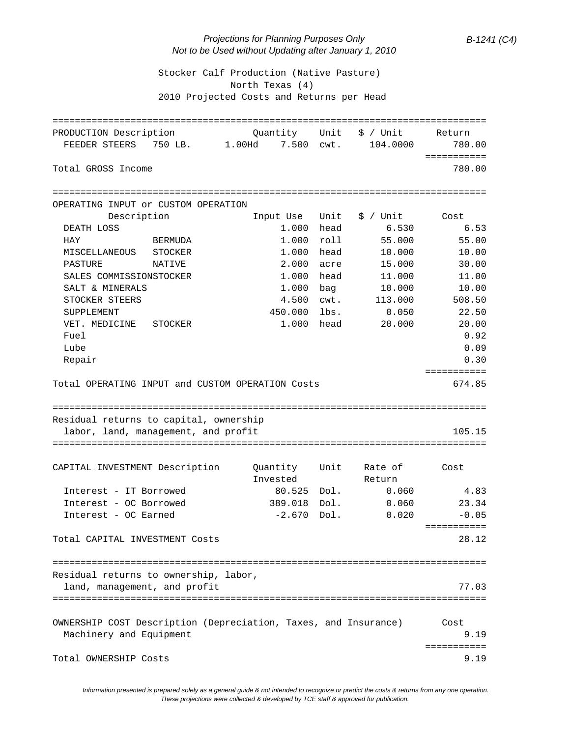## *Projections for Planning Purposes Only B-1241 (C4) Not to be Used without Updating after January 1, 2010*

 Stocker Calf Production (Native Pasture) North Texas (4) 2010 Projected Costs and Returns per Head

| PRODUCTION Description                                          | Quantity        | Unit | \$ / Unit  | Return      |
|-----------------------------------------------------------------|-----------------|------|------------|-------------|
| FEEDER STEERS<br>750 LB.                                        | 7.500<br>1.00Hd | cwt. | 104.0000   | 780.00      |
|                                                                 |                 |      |            | =========== |
| Total GROSS Income                                              |                 |      |            | 780.00      |
|                                                                 |                 |      |            |             |
| OPERATING INPUT or CUSTOM OPERATION                             |                 |      |            |             |
| Description                                                     | Input Use       | Unit | $$ /$ Unit | Cost        |
| DEATH LOSS                                                      | 1.000 head      |      | 6.530      | 6.53        |
| HAY<br><b>BERMUDA</b>                                           | 1.000           | roll | 55.000     | 55.00       |
| MISCELLANEOUS<br>STOCKER                                        | 1.000           | head | 10.000     | 10.00       |
| PASTURE<br>NATIVE                                               | 2.000           | acre | 15.000     | 30.00       |
| SALES COMMISSIONSTOCKER                                         | 1.000           | head | 11.000     | 11.00       |
| SALT & MINERALS                                                 | 1.000           | bag  | 10.000     | 10.00       |
| STOCKER STEERS                                                  | 4.500           | cwt. | 113.000    | 508.50      |
| SUPPLEMENT                                                      | 450.000         | lbs. | 0.050      | 22.50       |
| VET. MEDICINE<br>STOCKER                                        | 1.000           | head | 20.000     | 20.00       |
| Fuel                                                            |                 |      |            | 0.92        |
| Lube                                                            |                 |      |            | 0.09        |
| Repair                                                          |                 |      |            | 0.30        |
|                                                                 |                 |      |            | =========== |
| Total OPERATING INPUT and CUSTOM OPERATION Costs                |                 |      |            | 674.85      |
| Residual returns to capital, ownership                          |                 |      |            |             |
| labor, land, management, and profit                             |                 |      |            | 105.15      |
|                                                                 |                 |      |            |             |
| CAPITAL INVESTMENT Description                                  | Quantity        | Unit | Rate of    | Cost        |
|                                                                 | Invested        |      | Return     |             |
| Interest - IT Borrowed                                          | 80.525          | Dol. | 0.060      | 4.83        |
| Interest - OC Borrowed                                          | 389.018         | Dol. | 0.060      | 23.34       |
| Interest - OC Earned                                            | $-2.670$        | Dol. | 0.020      | $-0.05$     |
|                                                                 |                 |      |            | =========== |
| Total CAPITAL INVESTMENT Costs                                  |                 |      |            | 28.12       |
|                                                                 |                 |      |            |             |
| Residual returns to ownership, labor,                           |                 |      |            |             |
| land, management, and profit                                    |                 |      |            | 77.03       |
|                                                                 |                 |      |            |             |
|                                                                 |                 |      |            |             |
| OWNERSHIP COST Description (Depreciation, Taxes, and Insurance) |                 |      |            | Cost        |
| Machinery and Equipment                                         |                 |      |            | 9.19        |
|                                                                 |                 |      |            | =========== |
| Total OWNERSHIP Costs                                           |                 |      |            | 9.19        |

*Information presented is prepared solely as a general guide & not intended to recognize or predict the costs & returns from any one operation. These projections were collected & developed by TCE staff & approved for publication.*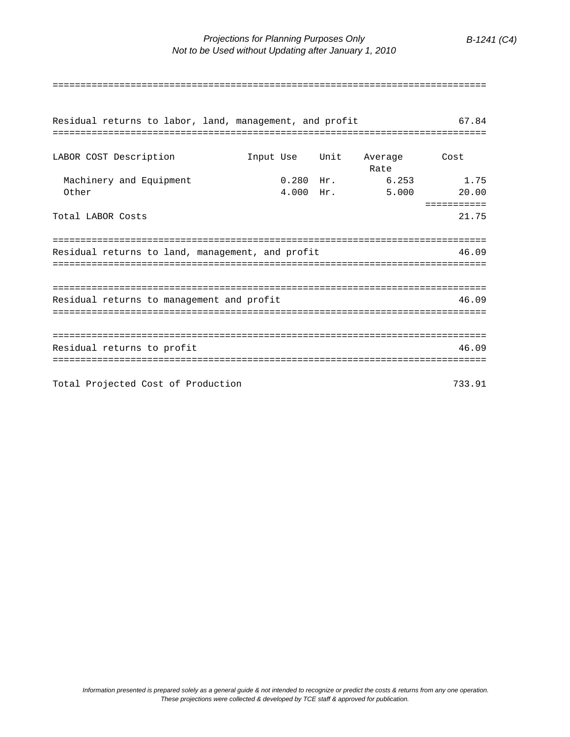| Residual returns to labor, land, management, and profit<br>====================================== |             |  |                                | 67.84                |  |  |
|---------------------------------------------------------------------------------------------------|-------------|--|--------------------------------|----------------------|--|--|
| LABOR COST Description                                                                            |             |  | Input Use Unit Average<br>Rate | Cost                 |  |  |
| Machinery and Equipment<br>Other                                                                  | $4.000$ Hr. |  | $0.280$ Hr. $6.253$<br>5.000   | 1.75<br>20.00        |  |  |
| Total LABOR Costs                                                                                 |             |  |                                | ===========<br>21.75 |  |  |
| Residual returns to land, management, and profit<br>46.09                                         |             |  |                                |                      |  |  |
|                                                                                                   |             |  |                                |                      |  |  |
| Residual returns to management and profit<br>46.09                                                |             |  |                                |                      |  |  |
|                                                                                                   |             |  |                                |                      |  |  |
| Residual returns to profit                                                                        |             |  |                                | 46.09                |  |  |
| Total Projected Cost of Production                                                                |             |  |                                | 733.91               |  |  |